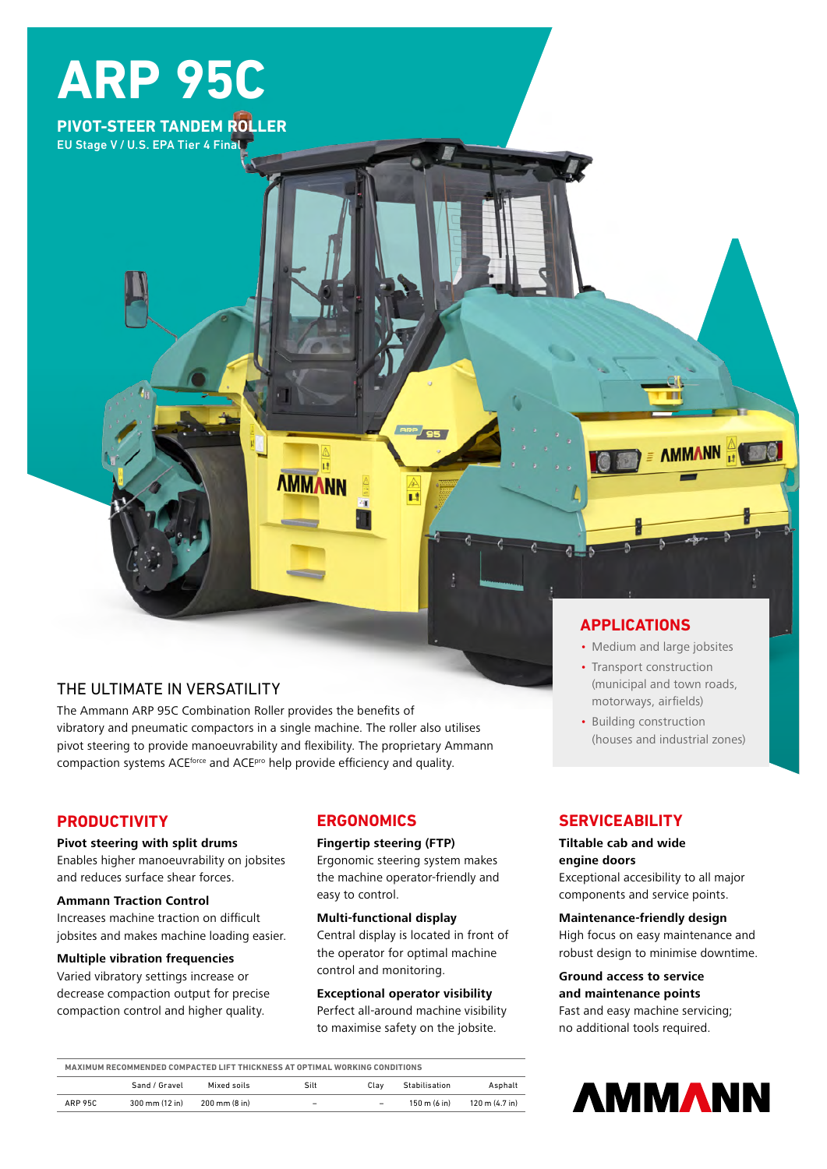

**PIVOT-STEER TANDEM ROLLER** EU Stage V / U.S. EPA Tier 4 Final

# THE ULTIMATE IN VERSATILITY

The Ammann ARP 95C Combination Roller provides the benefits of vibratory and pneumatic compactors in a single machine. The roller also utilises pivot steering to provide manoeuvrability and flexibility. The proprietary Ammann compaction systems ACE<sup>force</sup> and ACE<sup>pro</sup> help provide efficiency and quality.

**AMMANN** 

# **PRODUCTIVITY**

**Pivot steering with split drums**

Enables higher manoeuvrability on jobsites and reduces surface shear forces.

**Ammann Traction Control** Increases machine traction on difficult jobsites and makes machine loading easier.

### **Multiple vibration frequencies**

Varied vibratory settings increase or decrease compaction output for precise compaction control and higher quality.

# **ERGONOMICS**

### **Fingertip steering (FTP)**

Ergonomic steering system makes the machine operator-friendly and easy to control.

ū

### **Multi-functional display**

Central display is located in front of the operator for optimal machine control and monitoring.

### **Exceptional operator visibility**

Perfect all-around machine visibility to maximise safety on the jobsite.

| MAXIMUM RECOMMENDED COMPACTED LIFT THICKNESS AT OPTIMAL WORKING CONDITIONS |                                  |               |      |                          |                        |                          |
|----------------------------------------------------------------------------|----------------------------------|---------------|------|--------------------------|------------------------|--------------------------|
|                                                                            | Sand / Gravel                    | Mixed soils   | Silt | Clav                     | Stabilisation          | Asphalt                  |
| ARP 95C                                                                    | $300 \text{ mm} (12 \text{ in})$ | 200 mm (8 in) | -    | $\overline{\phantom{a}}$ | $150 \text{ m}$ (6 in) | $120 \text{ m}$ (4.7 in) |

# **APPLICATIONS**

• Medium and large jobsites

**AMMANN** 

- Transport construction (municipal and town roads, motorways, airfields)
- Building construction (houses and industrial zones)

# **SERVICEABILITY**

# **Tiltable cab and wide engine doors** Exceptional accesibility to all major

components and service points.

# **Maintenance-friendly design**

High focus on easy maintenance and robust design to minimise downtime.

# **Ground access to service**

**and maintenance points** Fast and easy machine servicing; no additional tools required.